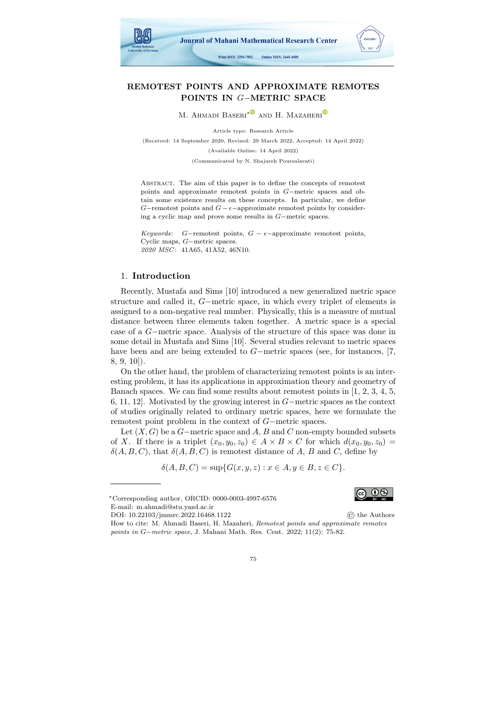

# REMOTEST POINTS AND APPROXIMATE REMOTES POINTS IN G−METRIC SPACE

M. AHMADI BASERI<sup>\*</sub><sup>●</sup> AND H. MAZAHERI<sup><sup>●</sup></sup></sup>

Article type: Research Article (Received: 14 September 2020, Revised: 29 March 2022, Accepted: 14 April 2022) (Available Online: 14 April 2022) (Communicated by N. Shajareh Poursalavati)

Abstract. The aim of this paper is to define the concepts of remotest points and approximate remotest points in G−metric spaces and obtain some existence results on these concepts. In particular, we define G-remotest points and  $G - \epsilon$ -approximate remotest points by considering a cyclic map and prove some results in G−metric spaces.

Keywords: G-remotest points,  $G - \epsilon$ -approximate remotest points, Cyclic maps, G−metric spaces. 2020 MSC: 41A65, 41A52, 46N10.

### 1. Introduction

Recently, Mustafa and Sims [10] introduced a new generalized metric space structure and called it, G−metric space, in which every triplet of elements is assigned to a non-negative real number. Physically, this is a measure of mutual distance between three elements taken together. A metric space is a special case of a G−metric space. Analysis of the structure of this space was done in some detail in Mustafa and Sims [10]. Several studies relevant to metric spaces have been and are being extended to G−metric spaces (see, for instances, [7, 8, 9, 10]).

On the other hand, the problem of characterizing remotest points is an interesting problem, it has its applications in approximation theory and geometry of Banach spaces. We can find some results about remotest points in [1, 2, 3, 4, 5, 6, 11, 12]. Motivated by the growing interest in G−metric spaces as the context of studies originally related to ordinary metric spaces, here we formulate the remotest point problem in the context of G−metric spaces.

Let  $(X, G)$  be a G−metric space and A, B and C non-empty bounded subsets of X. If there is a triplet  $(x_0, y_0, z_0) \in A \times B \times C$  for which  $d(x_0, y_0, z_0) =$  $\delta(A, B, C)$ , that  $\delta(A, B, C)$  is remotest distance of A, B and C, define by

$$
\delta(A, B, C) = \sup\{G(x, y, z) : x \in A, y \in B, z \in C\}.
$$



DOI: [10.22103/jmmrc.2022.16468.1122](https://jmmrc.uk.ac.ir/article_3256.html) © the Authors How to cite: M. Ahmadi Baseri, H. Mazaheri, Remotest points and approximate remotes points in G−metric space, J. Mahani Math. Res. Cent. 2022; 11(2): 75-82.



<sup>∗</sup>Corresponding author, ORCID: 0000-0003-4997-6576 E-mail: m.ahmadi@stu.yazd.ac.ir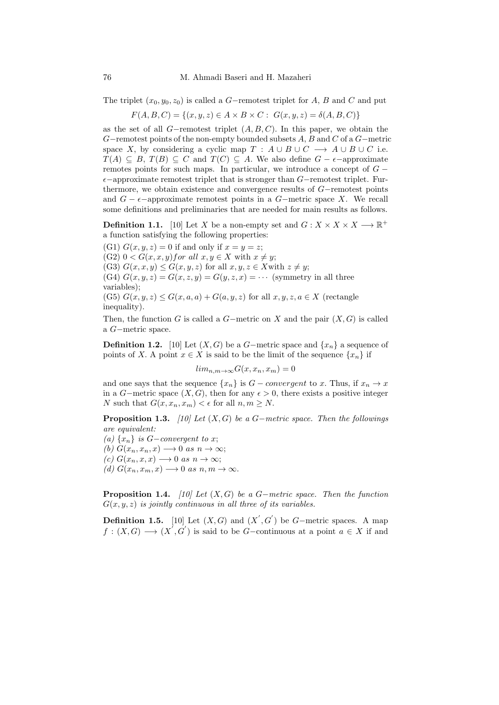The triplet  $(x_0, y_0, z_0)$  is called a G−remotest triplet for A, B and C and put

 $F(A, B, C) = \{(x, y, z) \in A \times B \times C : G(x, y, z) = \delta(A, B, C)\}\$ 

as the set of all G−remotest triplet  $(A, B, C)$ . In this paper, we obtain the  $G$ −remotest points of the non-empty bounded subsets  $A, B$  and  $C$  of a  $G$ −metric space X, by considering a cyclic map  $T : A \cup B \cup C \longrightarrow A \cup B \cup C$  i.e.  $T(A) \subseteq B$ ,  $T(B) \subseteq C$  and  $T(C) \subseteq A$ . We also define  $G - \epsilon$ -approximate remotes points for such maps. In particular, we introduce a concept of  $G \epsilon$ −approximate remotest triplet that is stronger than  $G$ −remotest triplet. Furthermore, we obtain existence and convergence results of G−remotest points and  $G - \epsilon$ -approximate remotest points in a G-metric space X. We recall some definitions and preliminaries that are needed for main results as follows.

**Definition 1.1.** [\[10\]](#page-7-0) Let X be a non-empty set and  $G: X \times X \times X \longrightarrow \mathbb{R}^+$ a function satisfying the following properties:

(G1)  $G(x, y, z) = 0$  if and only if  $x = y = z$ ; (G2)  $0 < G(x, x, y)$  for all  $x, y \in X$  with  $x \neq y$ ; (G3)  $G(x, x, y) \le G(x, y, z)$  for all  $x, y, z \in X$  with  $z \neq y$ ; (G4)  $G(x, y, z) = G(x, z, y) = G(y, z, x) = \cdots$  (symmetry in all three variables); (G5)  $G(x, y, z) \leq G(x, a, a) + G(a, y, z)$  for all  $x, y, z, a \in X$  (rectangle inequality).

Then, the function G is called a  $G$ -metric on X and the pair  $(X, G)$  is called a G−metric space.

**Definition 1.2.** [\[10\]](#page-7-0) Let  $(X, G)$  be a G−metric space and  $\{x_n\}$  a sequence of points of X. A point  $x \in X$  is said to be the limit of the sequence  $\{x_n\}$  if

$$
lim_{n,m \to \infty} G(x, x_n, x_m) = 0
$$

and one says that the sequence  $\{x_n\}$  is  $G$  – *convergent* to x. Thus, if  $x_n \to x$ in a G−metric space  $(X, G)$ , then for any  $\epsilon > 0$ , there exists a positive integer N such that  $G(x, x_n, x_m) < \epsilon$  for all  $n, m \geq N$ .

**Proposition 1.3.** [\[10\]](#page-7-0) Let  $(X, G)$  be a G−metric space. Then the followings are equivalent:

(a)  $\{x_n\}$  is G-convergent to x; (b)  $G(x_n, x_n, x) \longrightarrow 0$  as  $n \rightarrow \infty$ ;

(c)  $G(x_n, x, x) \longrightarrow 0$  as  $n \longrightarrow \infty$ ;

(d)  $G(x_n, x_m, x) \longrightarrow 0$  as  $n, m \longrightarrow \infty$ .

**Proposition 1.4.** [\[10\]](#page-7-0) Let  $(X, G)$  be a G−metric space. Then the function  $G(x, y, z)$  is jointly continuous in all three of its variables.

**Definition 1.5.** [\[10\]](#page-7-0) Let  $(X, G)$  and  $(X', G')$  be G-metric spaces. A map  $f:(X,G)\longrightarrow (X^{'},G^{'})$  is said to be G-continuous at a point  $a\in X$  if and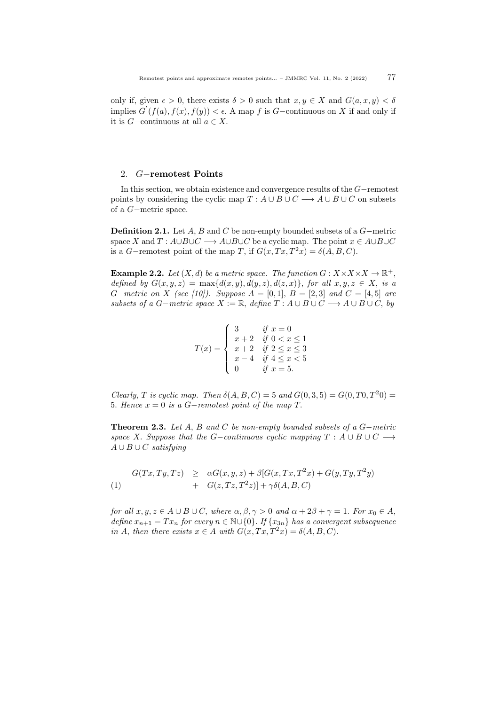only if, given  $\epsilon > 0$ , there exists  $\delta > 0$  such that  $x, y \in X$  and  $G(a, x, y) < \delta$ implies  $G'(f(a), f(x), f(y)) < \epsilon$ . A map f is G-continuous on X if and only if it is  $G$ −continuous at all  $a \in X$ .

## 2. G−remotest Points

In this section, we obtain existence and convergence results of the G−remotest points by considering the cyclic map  $T : A \cup B \cup C \longrightarrow A \cup B \cup C$  on subsets of a G−metric space.

Definition 2.1. Let A, B and C be non-empty bounded subsets of a G−metric space X and  $T: A\cup B\cup C \longrightarrow A\cup B\cup C$  be a cyclic map. The point  $x \in A\cup B\cup C$ is a G-remotest point of the map T, if  $G(x, Tx, T^2x) = \delta(A, B, C)$ .

**Example 2.2.** Let  $(X, d)$  be a metric space. The function  $G: X \times X \times X \to \mathbb{R}^+$ , defined by  $G(x, y, z) = \max\{d(x, y), d(y, z), d(z, x)\}\text{, for all } x, y, z \in X\text{, is a }$  $G-metric$  on X (see [\[10\]](#page-7-0)). Suppose  $A = [0,1], B = [2,3]$  and  $C = [4,5]$  are subsets of a G−metric space  $X := \mathbb{R}$ , define  $T : A \cup B \cup C \longrightarrow A \cup B \cup C$ , by

$$
T(x) = \begin{cases} 3 & \text{if } x = 0 \\ x+2 & \text{if } 0 < x \le 1 \\ x+2 & \text{if } 2 \le x \le 3 \\ x-4 & \text{if } 4 \le x < 5 \\ 0 & \text{if } x = 5. \end{cases}
$$

Clearly, T is cyclic map. Then  $\delta(A, B, C) = 5$  and  $G(0, 3, 5) = G(0, T0, T^20) =$ 5. Hence  $x = 0$  is a  $G-$ remotest point of the map T.

<span id="page-2-1"></span>Theorem 2.3. Let A, B and C be non-empty bounded subsets of a  $G$ -metric space X. Suppose that the G-continuous cyclic mapping  $T : A \cup B \cup C \longrightarrow$  $A \cup B \cup C$  satisfying

<span id="page-2-0"></span>
$$
\begin{array}{rcl}\nG(Tx,Ty,Tz) & \geq & \alpha G(x,y,z) + \beta[G(x,Tx,T^2x) + G(y,Ty,T^2y) \\
& + & G(z,Tz,T^2z)] + \gamma \delta(A,B,C)\n\end{array}
$$

for all  $x, y, z \in A \cup B \cup C$ , where  $\alpha, \beta, \gamma > 0$  and  $\alpha + 2\beta + \gamma = 1$ . For  $x_0 \in A$ , define  $x_{n+1} = Tx_n$  for every  $n \in \mathbb{N} \cup \{0\}$ . If  $\{x_{3n}\}\$  has a convergent subsequence in A, then there exists  $x \in A$  with  $G(x, Tx, T^2x) = \delta(A, B, C)$ .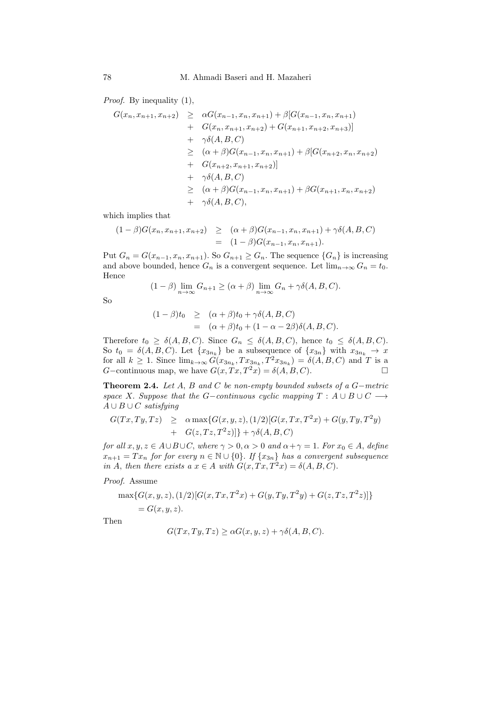Proof. By inequality  $(1)$ ,

$$
G(x_n, x_{n+1}, x_{n+2}) \geq \alpha G(x_{n-1}, x_n, x_{n+1}) + \beta [G(x_{n-1}, x_n, x_{n+1})
$$
  
+  $G(x_n, x_{n+1}, x_{n+2}) + G(x_{n+1}, x_{n+2}, x_{n+3})]$   
+  $\gamma \delta(A, B, C)$   
 $\geq (\alpha + \beta) G(x_{n-1}, x_n, x_{n+1}) + \beta [G(x_{n+2}, x_n, x_{n+2})$   
+  $G(x_{n+2}, x_{n+1}, x_{n+2})]$   
+  $\gamma \delta(A, B, C)$   
 $\geq (\alpha + \beta) G(x_{n-1}, x_n, x_{n+1}) + \beta G(x_{n+1}, x_n, x_{n+2})$   
+  $\gamma \delta(A, B, C),$ 

which implies that

$$
(1 - \beta)G(x_n, x_{n+1}, x_{n+2}) \geq (\alpha + \beta)G(x_{n-1}, x_n, x_{n+1}) + \gamma \delta(A, B, C)
$$
  
= 
$$
(1 - \beta)G(x_{n-1}, x_n, x_{n+1}).
$$

Put  $G_n = G(x_{n-1}, x_n, x_{n+1})$ . So  $G_{n+1} \geq G_n$ . The sequence  $\{G_n\}$  is increasing and above bounded, hence  $G_n$  is a convergent sequence. Let  $\lim_{n\to\infty} G_n = t_0$ . Hence

$$
(1 - \beta) \lim_{n \to \infty} G_{n+1} \geq (\alpha + \beta) \lim_{n \to \infty} G_n + \gamma \delta(A, B, C).
$$

So

$$
(1 - \beta)t_0 \geq (\alpha + \beta)t_0 + \gamma \delta(A, B, C)
$$
  
= (\alpha + \beta)t\_0 + (1 - \alpha - 2\beta)\delta(A, B, C).

Therefore  $t_0 \geq \delta(A, B, C)$ . Since  $G_n \leq \delta(A, B, C)$ , hence  $t_0 \leq \delta(A, B, C)$ . So  $t_0 = \delta(A, B, C)$ . Let  $\{x_{3n_k}\}\)$  be a subsequence of  $\{x_{3n}\}\$  with  $x_{3n_k} \to x$ for all  $k \geq 1$ . Since  $\lim_{k \to \infty} G(x_{3n_k}, Tx_{3n_k}, T^2 x_{3n_k}) = \delta(A, B, C)$  and T is a G-continuous map, we have  $G(x, Tx, T^2x) = \delta(A, B, C)$ .

Theorem 2.4. Let  $A$ ,  $B$  and  $C$  be non-empty bounded subsets of a  $G$ -metric space X. Suppose that the G-continuous cyclic mapping  $T : A \cup B \cup C \longrightarrow$  $A \cup B \cup C$  satisfying

$$
G(Tx, Ty, Tz) \geq \alpha \max\{G(x, y, z), (1/2)[G(x, Tx, T^2x) + G(y, Ty, T^2y) + G(z, Tz, T^2z)]\} + \gamma \delta(A, B, C)
$$

for all  $x, y, z \in A \cup B \cup C$ , where  $\gamma > 0, \alpha > 0$  and  $\alpha + \gamma = 1$ . For  $x_0 \in A$ , define  $x_{n+1} = Tx_n$  for for every  $n \in \mathbb{N} \cup \{0\}$ . If  $\{x_{3n}\}\$  has a convergent subsequence in A, then there exists a  $x \in A$  with  $G(x, Tx, T^2x) = \delta(A, B, C)$ .

Proof. Assume

$$
\max\{G(x, y, z), (1/2)[G(x, Tx, T^2x) + G(y, Ty, T^2y) + G(z, Tz, T^2z)]\}
$$
  
=  $G(x, y, z)$ .

Then

$$
G(Tx, Ty, Tz) \ge \alpha G(x, y, z) + \gamma \delta(A, B, C).
$$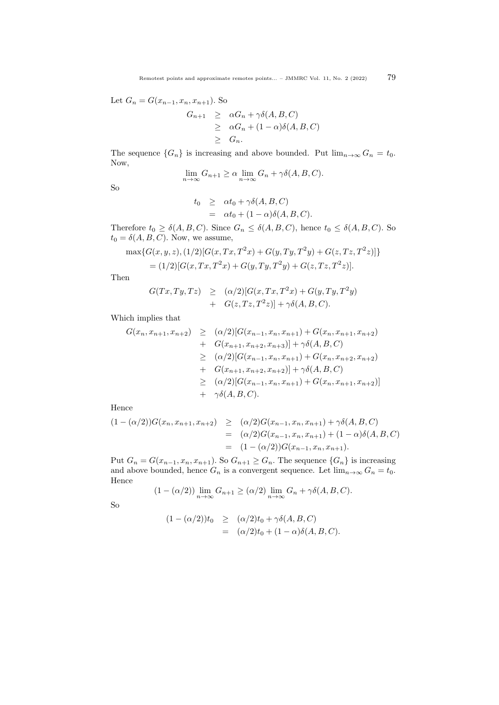Let  $G_n = G(x_{n-1}, x_n, x_{n+1})$ . So

$$
G_{n+1} \geq \alpha G_n + \gamma \delta(A, B, C)
$$
  
\n
$$
\geq \alpha G_n + (1 - \alpha) \delta(A, B, C)
$$
  
\n
$$
\geq G_n.
$$

The sequence  $\{G_n\}$  is increasing and above bounded. Put  $\lim_{n\to\infty} G_n = t_0$ . Now,

$$
\lim_{n \to \infty} G_{n+1} \ge \alpha \lim_{n \to \infty} G_n + \gamma \delta(A, B, C).
$$

So

$$
t_0 \geq \alpha t_0 + \gamma \delta(A, B, C)
$$
  
=  $\alpha t_0 + (1 - \alpha) \delta(A, B, C).$ 

Therefore  $t_0 \geq \delta(A, B, C)$ . Since  $G_n \leq \delta(A, B, C)$ , hence  $t_0 \leq \delta(A, B, C)$ . So  $t_0 = \delta(A, B, C)$ . Now, we assume,

$$
\max\{G(x, y, z), (1/2)[G(x, Tx, T^2x) + G(y, Ty, T^2y) + G(z, Tz, T^2z)]\}
$$
  
= (1/2)[G(x, Tx, T^2x) + G(y, Ty, T^2y) + G(z, Tz, T^2z)].

Then

$$
G(Tx,Ty,Tz) \geq (\alpha/2)[G(x,Tx,T^2x)+G(y,Ty,T^2y) + G(z,Tz,T^2z)] + \gamma \delta(A,B,C).
$$

Which implies that

$$
G(x_n, x_{n+1}, x_{n+2}) \geq (\alpha/2)[G(x_{n-1}, x_n, x_{n+1}) + G(x_n, x_{n+1}, x_{n+2})
$$
  
+ 
$$
G(x_{n+1}, x_{n+2}, x_{n+3})] + \gamma \delta(A, B, C)
$$
  

$$
\geq (\alpha/2)[G(x_{n-1}, x_n, x_{n+1}) + G(x_n, x_{n+2}, x_{n+2})
$$
  
+ 
$$
G(x_{n+1}, x_{n+2}, x_{n+2})] + \gamma \delta(A, B, C)
$$
  

$$
\geq (\alpha/2)[G(x_{n-1}, x_n, x_{n+1}) + G(x_n, x_{n+1}, x_{n+2})]
$$
  
+ 
$$
\gamma \delta(A, B, C).
$$

Hence

$$
(1 - (\alpha/2))G(x_n, x_{n+1}, x_{n+2}) \geq (\alpha/2)G(x_{n-1}, x_n, x_{n+1}) + \gamma \delta(A, B, C)
$$
  
= (\alpha/2)G(x\_{n-1}, x\_n, x\_{n+1}) + (1 - \alpha)\delta(A, B, C)  
= (1 - (\alpha/2))G(x\_{n-1}, x\_n, x\_{n+1}).

Put  $G_n = G(x_{n-1}, x_n, x_{n+1})$ . So  $G_{n+1} \geq G_n$ . The sequence  $\{G_n\}$  is increasing and above bounded, hence  $G_n$  is a convergent sequence. Let  $\lim_{n\to\infty} G_n = t_0$ . Hence

$$
(1 - (\alpha/2)) \lim_{n \to \infty} G_{n+1} \geq (\alpha/2) \lim_{n \to \infty} G_n + \gamma \delta(A, B, C).
$$

So

$$
(1 - (\alpha/2))t_0 \geq (\alpha/2)t_0 + \gamma \delta(A, B, C)
$$
  
= (\alpha/2)t\_0 + (1 - \alpha)\delta(A, B, C).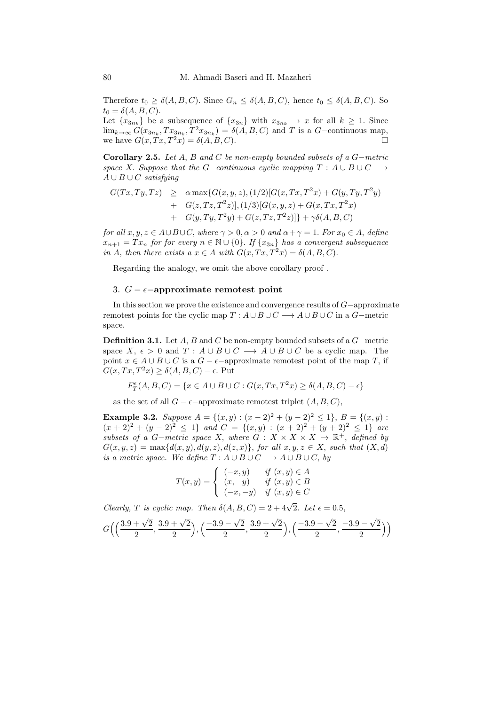Therefore  $t_0 \geq \delta(A, B, C)$ . Since  $G_n \leq \delta(A, B, C)$ , hence  $t_0 \leq \delta(A, B, C)$ . So  $t_0 = \delta(A, B, C).$ 

Let  $\{x_{3n_k}\}\)$  be a subsequence of  $\{x_{3n}\}\$  with  $x_{3n_k} \to x$  for all  $k \geq 1$ . Since  $\lim_{k\to\infty} G(x_{3n_k}, Tx_{3n_k}, T^2x_{3n_k}) = \delta(A, B, C)$  and T is a G-continuous map, we have  $G(x, Tx, T^2x) = \delta(A, B, C)$ .

Corollary 2.5. Let A, B and C be non-empty bounded subsets of a  $G$ -metric space X. Suppose that the G-continuous cyclic mapping  $T : A \cup B \cup C \longrightarrow$  $A \cup B \cup C$  satisfying

$$
G(Tx,Ty,Tz) \geq \alpha \max \{ G(x,y,z), (1/2) [G(x,Tx,T^2x) + G(y,Ty,T^2y) + G(z,Tz,T^2z) ], (1/3) [G(x,y,z) + G(x,Tx,T^2x) + G(y,Ty,T^2y) + G(z,Tz,T^2z)] \} + \gamma \delta(A,B,C)
$$

for all  $x, y, z \in A \cup B \cup C$ , where  $\gamma > 0, \alpha > 0$  and  $\alpha + \gamma = 1$ . For  $x_0 \in A$ , define  $x_{n+1} = Tx_n$  for for every  $n \in \mathbb{N} \cup \{0\}$ . If  $\{x_{3n}\}\$  has a convergent subsequence in A, then there exists a  $x \in A$  with  $G(x, Tx, T^2x) = \delta(A, B, C)$ .

Regarding the analogy, we omit the above corollary proof .

## 3.  $G - \epsilon$ -approximate remotest point

In this section we prove the existence and convergence results of G−approximate remotest points for the cyclic map  $T : A \cup B \cup C \longrightarrow A \cup B \cup C$  in a  $G$ -metric space.

**Definition 3.1.** Let A, B and C be non-empty bounded subsets of a  $G$ -metric space X,  $\epsilon > 0$  and  $T : A \cup B \cup C \longrightarrow A \cup B \cup C$  be a cyclic map. The point  $x \in A \cup B \cup C$  is a  $G - \epsilon$ -approximate remotest point of the map T, if  $G(x, Tx, T^2x) \ge \delta(A, B, C) - \epsilon$ . Put

$$
F_T^{\epsilon}(A,B,C)=\{x\in A\cup B\cup C: G(x,Tx,T^2x)\geq \delta(A,B,C)-\epsilon\}
$$

as the set of all  $G - \epsilon$ -approximate remotest triplet  $(A, B, C)$ ,

Example 3.2. Suppose  $A = \{(x, y) : (x - 2)^2 + (y - 2)^2 \le 1\}$ ,  $B = \{(x, y) : (x - 2)^2 + (y - 2)^2 \le 1\}$  $(x + 2)^2 + (y - 2)^2 \le 1$  and  $C = \{(x, y) : (x + 2)^2 + (y + 2)^2 \le 1\}$  are subsets of a G-metric space X, where  $G: X \times X \times X \to \mathbb{R}^+$ , defined by  $G(x, y, z) = \max\{d(x, y), d(y, z), d(z, x)\},$  for all  $x, y, z \in X$ , such that  $(X, d)$ is a metric space. We define  $T : A \cup B \cup C \longrightarrow A \cup B \cup C$ , by

$$
T(x,y) = \begin{cases} (-x,y) & \text{if } (x,y) \in A \\ (x,-y) & \text{if } (x,y) \in B \\ (-x,-y) & \text{if } (x,y) \in C \end{cases}
$$

Clearly, T is cyclic map. Then  $\delta(A, B, C) = 2 + 4\sqrt{2}$ . Let  $\epsilon = 0.5$ ,

$$
G\left(\left(\frac{3.9+\sqrt{2}}{2},\frac{3.9+\sqrt{2}}{2}\right),\left(\frac{-3.9-\sqrt{2}}{2},\frac{3.9+\sqrt{2}}{2}\right),\left(\frac{-3.9-\sqrt{2}}{2},\frac{-3.9-\sqrt{2}}{2}\right)\right)
$$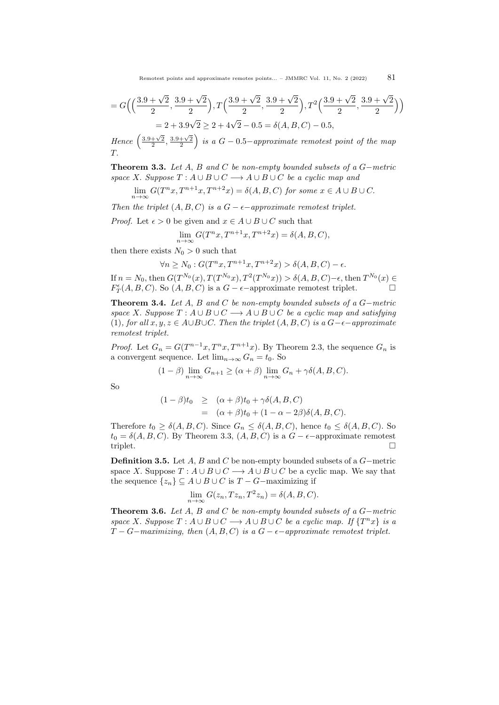$$
= G\left( \left( \frac{3.9 + \sqrt{2}}{2}, \frac{3.9 + \sqrt{2}}{2} \right), T\left( \frac{3.9 + \sqrt{2}}{2}, \frac{3.9 + \sqrt{2}}{2} \right), T^2\left( \frac{3.9 + \sqrt{2}}{2}, \frac{3.9 + \sqrt{2}}{2} \right) \right)
$$
  
= 2 + 3.9 $\sqrt{2}$  ≥ 2 + 4 $\sqrt{2}$  - 0.5 =  $\delta(A, B, C)$  - 0.5,

Hence  $\left(\frac{3.9+\sqrt{2}}{2},\frac{3.9+\sqrt{2}}{2}\right)$  is a  $G-0.5-approximate$  remotest point of the map  $T$ 

<span id="page-6-0"></span>Theorem 3.3. Let A, B and C be non-empty bounded subsets of a G−metric space X. Suppose  $T : A \cup B \cup C \longrightarrow A \cup B \cup C$  be a cyclic map and

 $\lim_{n\to\infty} G(T^n x, T^{n+1} x, T^{n+2} x) = \delta(A, B, C)$  for some  $x \in A \cup B \cup C$ .

Then the triplet  $(A, B, C)$  is a  $G - \epsilon$ -approximate remotest triplet.

*Proof.* Let  $\epsilon > 0$  be given and  $x \in A \cup B \cup C$  such that

$$
\lim_{n \to \infty} G(T^n x, T^{n+1} x, T^{n+2} x) = \delta(A, B, C),
$$

then there exists  $N_0 > 0$  such that

$$
\forall n \ge N_0 : G(T^n x, T^{n+1} x, T^{n+2} x) > \delta(A, B, C) - \epsilon.
$$

If  $n = N_0$ , then  $G(T^{N_0}(x), T(T^{N_0}x), T^2(T^{N_0}x)) > \delta(A, B, C) - \epsilon$ , then  $T^{N_0}(x) \in$  $F_T^{\epsilon}(A, B, C)$ . So  $(A, B, C)$  is a  $G - \epsilon$ -approximate remotest triplet.

**Theorem 3.4.** Let A, B and C be non-empty bounded subsets of a  $G$ -metric space X. Suppose  $T : A \cup B \cup C \longrightarrow A \cup B \cup C$  be a cyclic map and satisfying [\(1\)](#page-2-0), for all  $x, y, z \in A \cup B \cup C$ . Then the triplet  $(A, B, C)$  is a  $G-\epsilon-approximate$ remotest triplet.

*Proof.* Let  $G_n = G(T^{n-1}x, T^n x, T^{n+1}x)$ . By Theorem [2.3,](#page-2-1) the sequence  $G_n$  is a convergent sequence. Let  $\lim_{n\to\infty} G_n = t_0$ . So

$$
(1 - \beta) \lim_{n \to \infty} G_{n+1} \ge (\alpha + \beta) \lim_{n \to \infty} G_n + \gamma \delta(A, B, C).
$$

So

$$
(1 - \beta)t_0 \geq (\alpha + \beta)t_0 + \gamma \delta(A, B, C)
$$
  
= (\alpha + \beta)t\_0 + (1 - \alpha - 2\beta)\delta(A, B, C).

Therefore  $t_0 \geq \delta(A, B, C)$ . Since  $G_n \leq \delta(A, B, C)$ , hence  $t_0 \leq \delta(A, B, C)$ . So  $t_0 = \delta(A, B, C)$ . By Theorem [3.3,](#page-6-0)  $(A, B, C)$  is a  $G - \epsilon$ -approximate remotest triplet.

Definition 3.5. Let A, B and C be non-empty bounded subsets of a G−metric space X. Suppose  $T : A \cup B \cup C \longrightarrow A \cup B \cup C$  be a cyclic map. We say that the sequence  $\{z_n\} \subseteq A \cup B \cup C$  is  $T - G$ -maximizing if

$$
\lim_{n \to \infty} G(z_n, T z_n, T^2 z_n) = \delta(A, B, C).
$$

Theorem 3.6. Let  $A$ ,  $B$  and  $C$  be non-empty bounded subsets of a  $G-metric$ space X. Suppose  $T : A \cup B \cup C \longrightarrow A \cup B \cup C$  be a cyclic map. If  $\{T^n x\}$  is a  $T - G -$  maximizing, then  $(A, B, C)$  is a  $G - \epsilon -$  approximate remotest triplet.